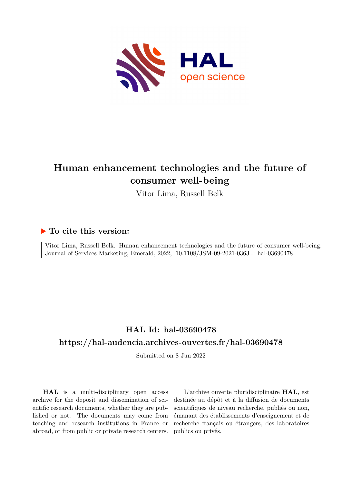

# **Human enhancement technologies and the future of consumer well-being**

Vitor Lima, Russell Belk

## **To cite this version:**

Vitor Lima, Russell Belk. Human enhancement technologies and the future of consumer well-being. Journal of Services Marketing, Emerald, 2022, 10.1108/JSM-09-2021-0363. hal-03690478

# **HAL Id: hal-03690478 <https://hal-audencia.archives-ouvertes.fr/hal-03690478>**

Submitted on 8 Jun 2022

**HAL** is a multi-disciplinary open access archive for the deposit and dissemination of scientific research documents, whether they are published or not. The documents may come from teaching and research institutions in France or abroad, or from public or private research centers.

L'archive ouverte pluridisciplinaire **HAL**, est destinée au dépôt et à la diffusion de documents scientifiques de niveau recherche, publiés ou non, émanant des établissements d'enseignement et de recherche français ou étrangers, des laboratoires publics ou privés.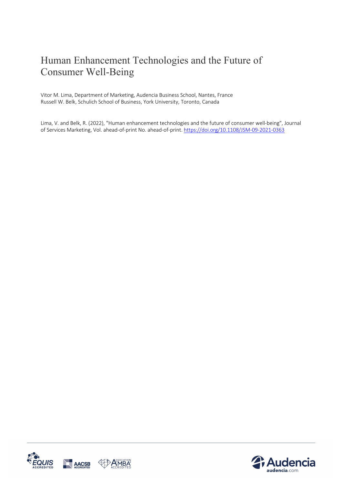# Human Enhancement Technologies and the Future of Consumer Well-Being

Vitor M. Lima, Department of Marketing, Audencia Business School, Nantes, France Russell W. Belk, Schulich School of Business, York University, Toronto, Canada

Lima, V. and Belk, R. (2022), "Human enhancement technologies and the future of consumer well-being", Journal of Services Marketing, Vol. ahead-of-print No. ahead-of-print. https://doi.org/10.1108/JSM-09-2021-0363



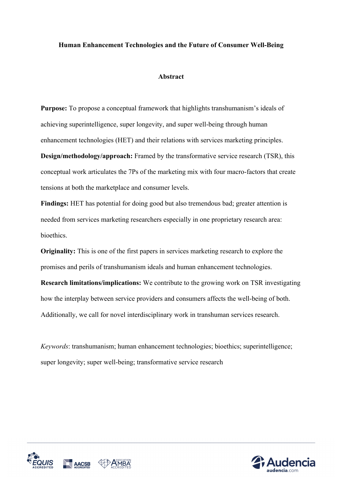#### **Human Enhancement Technologies and the Future of Consumer Well-Being**

#### **Abstract**

**Purpose:** To propose a conceptual framework that highlights transhumanism's ideals of achieving superintelligence, super longevity, and super well-being through human enhancement technologies (HET) and their relations with services marketing principles.

**Design/methodology/approach:** Framed by the transformative service research (TSR), this conceptual work articulates the 7Ps of the marketing mix with four macro-factors that create tensions at both the marketplace and consumer levels.

**Findings:** HET has potential for doing good but also tremendous bad; greater attention is needed from services marketing researchers especially in one proprietary research area: bioethics.

**Originality:** This is one of the first papers in services marketing research to explore the promises and perils of transhumanism ideals and human enhancement technologies.

**Research limitations/implications:** We contribute to the growing work on TSR investigating how the interplay between service providers and consumers affects the well-being of both. Additionally, we call for novel interdisciplinary work in transhuman services research.

*Keywords*: transhumanism; human enhancement technologies; bioethics; superintelligence; super longevity; super well-being; transformative service research



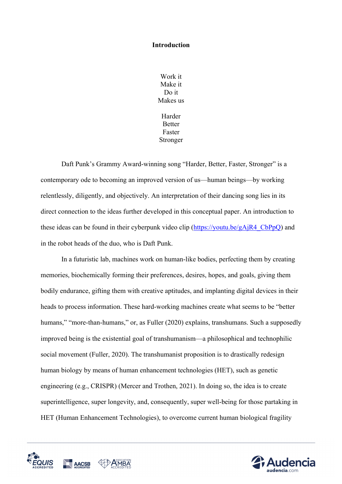#### **Introduction**

Work it Make it Do it Makes us Harder Better Faster Stronger

Daft Punk's Grammy Award-winning song "Harder, Better, Faster, Stronger" is a contemporary ode to becoming an improved version of us—human beings—by working relentlessly, diligently, and objectively. An interpretation of their dancing song lies in its direct connection to the ideas further developed in this conceptual paper. An introduction to these ideas can be found in their cyberpunk video clip ( $\frac{https://youtu.be/gAjR4-CbPpQ)}{https://youtu.be/gAjR4-CbPpQ)}$  and in the robot heads of the duo, who is Daft Punk.

In a futuristic lab, machines work on human-like bodies, perfecting them by creating memories, biochemically forming their preferences, desires, hopes, and goals, giving them bodily endurance, gifting them with creative aptitudes, and implanting digital devices in their heads to process information. These hard-working machines create what seems to be "better humans," "more-than-humans," or, as Fuller (2020) explains, transhumans. Such a supposedly improved being is the existential goal of transhumanism—a philosophical and technophilic social movement (Fuller, 2020). The transhumanist proposition is to drastically redesign human biology by means of human enhancement technologies (HET), such as genetic engineering (e.g., CRISPR) (Mercer and Trothen, 2021). In doing so, the idea is to create superintelligence, super longevity, and, consequently, super well-being for those partaking in HET (Human Enhancement Technologies), to overcome current human biological fragility



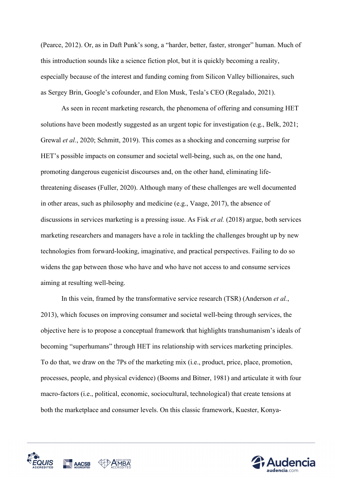(Pearce, 2012). Or, as in Daft Punk's song, a "harder, better, faster, stronger" human. Much of this introduction sounds like a science fiction plot, but it is quickly becoming a reality, especially because of the interest and funding coming from Silicon Valley billionaires, such as Sergey Brin, Google's cofounder, and Elon Musk, Tesla's CEO (Regalado, 2021).

As seen in recent marketing research, the phenomena of offering and consuming HET solutions have been modestly suggested as an urgent topic for investigation (e.g., Belk, 2021; Grewal *et al.*, 2020; Schmitt, 2019). This comes as a shocking and concerning surprise for HET's possible impacts on consumer and societal well-being, such as, on the one hand, promoting dangerous eugenicist discourses and, on the other hand, eliminating lifethreatening diseases (Fuller, 2020). Although many of these challenges are well documented in other areas, such as philosophy and medicine (e.g., Vaage, 2017), the absence of discussions in services marketing is a pressing issue. As Fisk *et al.* (2018) argue, both services marketing researchers and managers have a role in tackling the challenges brought up by new technologies from forward-looking, imaginative, and practical perspectives. Failing to do so widens the gap between those who have and who have not access to and consume services aiming at resulting well-being.

In this vein, framed by the transformative service research (TSR) (Anderson *et al.*, 2013), which focuses on improving consumer and societal well-being through services, the objective here is to propose a conceptual framework that highlights transhumanism's ideals of becoming "superhumans" through HET ins relationship with services marketing principles. To do that, we draw on the 7Ps of the marketing mix (i.e., product, price, place, promotion, processes, people, and physical evidence) (Booms and Bitner, 1981) and articulate it with four macro-factors (i.e., political, economic, sociocultural, technological) that create tensions at both the marketplace and consumer levels. On this classic framework, Kuester, Konya-



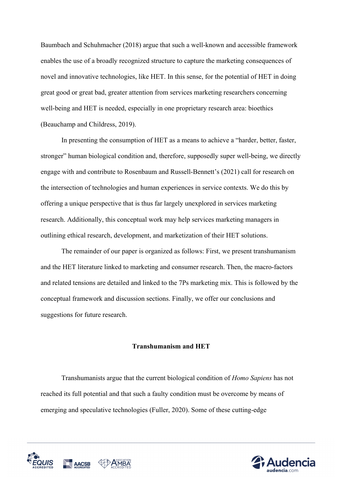Baumbach and Schuhmacher (2018) argue that such a well-known and accessible framework enables the use of a broadly recognized structure to capture the marketing consequences of novel and innovative technologies, like HET. In this sense, for the potential of HET in doing great good or great bad, greater attention from services marketing researchers concerning well-being and HET is needed, especially in one proprietary research area: bioethics (Beauchamp and Childress, 2019).

In presenting the consumption of HET as a means to achieve a "harder, better, faster, stronger" human biological condition and, therefore, supposedly super well-being, we directly engage with and contribute to Rosenbaum and Russell-Bennett's (2021) call for research on the intersection of technologies and human experiences in service contexts. We do this by offering a unique perspective that is thus far largely unexplored in services marketing research. Additionally, this conceptual work may help services marketing managers in outlining ethical research, development, and marketization of their HET solutions.

The remainder of our paper is organized as follows: First, we present transhumanism and the HET literature linked to marketing and consumer research. Then, the macro-factors and related tensions are detailed and linked to the 7Ps marketing mix. This is followed by the conceptual framework and discussion sections. Finally, we offer our conclusions and suggestions for future research.

#### **Transhumanism and HET**

Transhumanists argue that the current biological condition of *Homo Sapiens* has not reached its full potential and that such a faulty condition must be overcome by means of emerging and speculative technologies (Fuller, 2020). Some of these cutting-edge



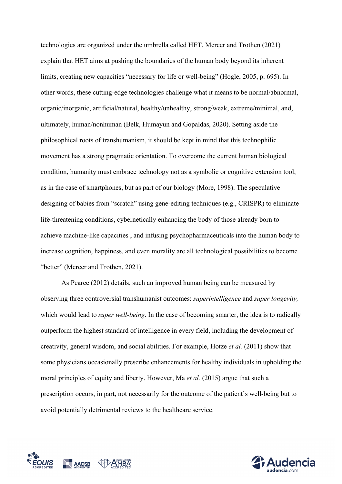technologies are organized under the umbrella called HET. Mercer and Trothen (2021) explain that HET aims at pushing the boundaries of the human body beyond its inherent limits, creating new capacities "necessary for life or well-being" (Hogle, 2005, p. 695). In other words, these cutting-edge technologies challenge what it means to be normal/abnormal, organic/inorganic, artificial/natural, healthy/unhealthy, strong/weak, extreme/minimal, and, ultimately, human/nonhuman (Belk, Humayun and Gopaldas, 2020). Setting aside the philosophical roots of transhumanism, it should be kept in mind that this technophilic movement has a strong pragmatic orientation. To overcome the current human biological condition, humanity must embrace technology not as a symbolic or cognitive extension tool, as in the case of smartphones, but as part of our biology (More, 1998). The speculative designing of babies from "scratch" using gene-editing techniques (e.g., CRISPR) to eliminate life-threatening conditions, cybernetically enhancing the body of those already born to achieve machine-like capacities , and infusing psychopharmaceuticals into the human body to increase cognition, happiness, and even morality are all technological possibilities to become "better" (Mercer and Trothen, 2021).

As Pearce (2012) details, such an improved human being can be measured by observing three controversial transhumanist outcomes: *superintelligence* and *super longevity,* which would lead to *super well-being*. In the case of becoming smarter, the idea is to radically outperform the highest standard of intelligence in every field, including the development of creativity, general wisdom, and social abilities. For example, Hotze *et al.* (2011) show that some physicians occasionally prescribe enhancements for healthy individuals in upholding the moral principles of equity and liberty. However, Ma *et al.* (2015) argue that such a prescription occurs, in part, not necessarily for the outcome of the patient's well-being but to avoid potentially detrimental reviews to the healthcare service.



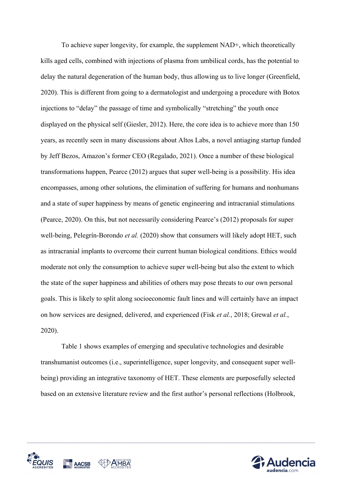To achieve super longevity, for example, the supplement NAD+, which theoretically kills aged cells, combined with injections of plasma from umbilical cords, has the potential to delay the natural degeneration of the human body, thus allowing us to live longer (Greenfield, 2020). This is different from going to a dermatologist and undergoing a procedure with Botox injections to "delay" the passage of time and symbolically "stretching" the youth once displayed on the physical self (Giesler, 2012). Here, the core idea is to achieve more than 150 years, as recently seen in many discussions about Altos Labs, a novel antiaging startup funded by Jeff Bezos, Amazon's former CEO (Regalado, 2021). Once a number of these biological transformations happen, Pearce (2012) argues that super well-being is a possibility. His idea encompasses, among other solutions, the elimination of suffering for humans and nonhumans and a state of super happiness by means of genetic engineering and intracranial stimulations (Pearce, 2020). On this, but not necessarily considering Pearce's (2012) proposals for super well-being, Pelegrín-Borondo *et al.* (2020) show that consumers will likely adopt HET, such as intracranial implants to overcome their current human biological conditions. Ethics would moderate not only the consumption to achieve super well-being but also the extent to which the state of the super happiness and abilities of others may pose threats to our own personal goals. This is likely to split along socioeconomic fault lines and will certainly have an impact on how services are designed, delivered, and experienced (Fisk *et al.*, 2018; Grewal *et al.*, 2020).

Table 1 shows examples of emerging and speculative technologies and desirable transhumanist outcomes (i.e., superintelligence, super longevity, and consequent super wellbeing) providing an integrative taxonomy of HET. These elements are purposefully selected based on an extensive literature review and the first author's personal reflections (Holbrook,



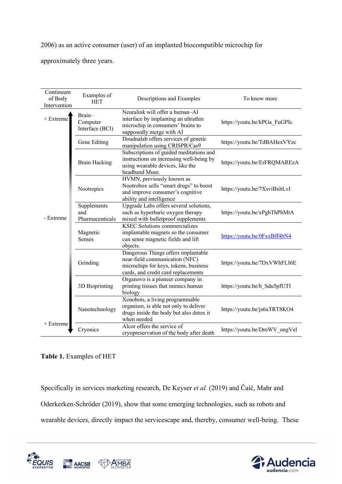2006) as an active consumer (user) of an implanted biocompatible microchip for

approximately three years.

| Continuum<br>of Body<br>Intervention | Examples of<br><b>HET</b>             | Descriptions and Examples                                                                                                                             | To know more                 |
|--------------------------------------|---------------------------------------|-------------------------------------------------------------------------------------------------------------------------------------------------------|------------------------------|
| $+$ Extreme                          | Brain-<br>Computer<br>Interface (BCI) | Neuralink will offer a human-AI<br>interface by implanting an ultrathin<br>microchip in consumers' brains to<br>supposedly merge with AI              | https://youtu.be/kPGa FuGPIc |
| - Extreme                            | Gene Editing                          | Doudnalab offers services of genetic<br>manipulation using CRISPR/Cas9                                                                                | https://youtu.be/TdBAHexVYzc |
|                                      | <b>Brain Hacking</b>                  | Subscriptions of guided meditations and<br>instructions on increasing well-being by<br>using wearable devices, like the<br>headband Muse.             | https://youtu.be/ErFRQMAREzA |
|                                      | Nootropics                            | HVMN, previously known as<br>Nootrobox sells "smart drugs" to boost<br>and improve consumer's cognitive<br>ability and intelligence                   | https://youtu.be/7XsviBxbLvI |
|                                      | Supplements<br>and<br>Pharmaceuticals | Upgrade Labs offers several solutions,<br>such as hyperbaric oxygen therapy<br>mixed with bulletproof supplements                                     | https://youtu.be/xPgbThPhMtA |
|                                      | Magnetic<br>Senses                    | <b>KSEC Solutions commercializes</b><br>implantable magnets so the consumer<br>can sense magnetic fields and lift<br>objects.                         | https://youtu.be/0FxxBff4bN4 |
|                                      | Grinding                              | Dangerous Things offers implantable<br>near-field communication (NFC)<br>microchips for keys, tokens, business<br>cards, and credit card replacements | https://youtu.be/7DxVWhFLI6E |
|                                      | 3D Bioprinting                        | Organovo is a pioneer company in<br>printing tissues that mimics human<br>biology                                                                     | https://youtu.be/h Sdu5pfUTI |
|                                      | Nanotechnology                        | Xenobots, a living programmable<br>organism, is able not only to deliver<br>drugs inside the body but also detox it<br>when needed                    | https://youtu.be/js6uTRT8KO4 |
| + Extreme                            | Cryonics                              | Alcor offers the service of<br>cryopreservation of the body after death                                                                               | https://youtu.be/DmWV_ongVeI |

### **Table 1.** Examples of HET

Specifically in services marketing research, De Keyser *et al.* (2019) and Čaić, Mahr and Oderkerken-Schröder (2019), show that some emerging technologies, such as robots and wearable devices, directly impact the servicescape and, thereby, consumer well-being. These



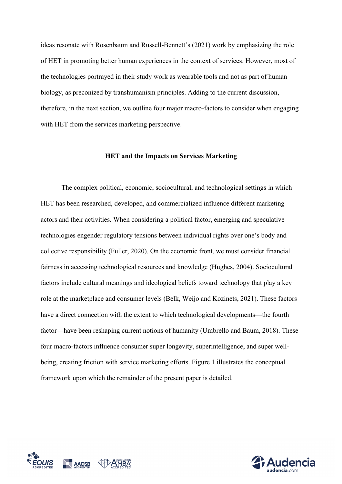ideas resonate with Rosenbaum and Russell-Bennett's (2021) work by emphasizing the role of HET in promoting better human experiences in the context of services. However, most of the technologies portrayed in their study work as wearable tools and not as part of human biology, as preconized by transhumanism principles. Adding to the current discussion, therefore, in the next section, we outline four major macro-factors to consider when engaging with HET from the services marketing perspective.

#### **HET and the Impacts on Services Marketing**

The complex political, economic, sociocultural, and technological settings in which HET has been researched, developed, and commercialized influence different marketing actors and their activities. When considering a political factor, emerging and speculative technologies engender regulatory tensions between individual rights over one's body and collective responsibility (Fuller, 2020). On the economic front, we must consider financial fairness in accessing technological resources and knowledge (Hughes, 2004). Sociocultural factors include cultural meanings and ideological beliefs toward technology that play a key role at the marketplace and consumer levels (Belk, Weijo and Kozinets, 2021). These factors have a direct connection with the extent to which technological developments—the fourth factor—have been reshaping current notions of humanity (Umbrello and Baum, 2018). These four macro-factors influence consumer super longevity, superintelligence, and super wellbeing, creating friction with service marketing efforts. Figure 1 illustrates the conceptual framework upon which the remainder of the present paper is detailed.



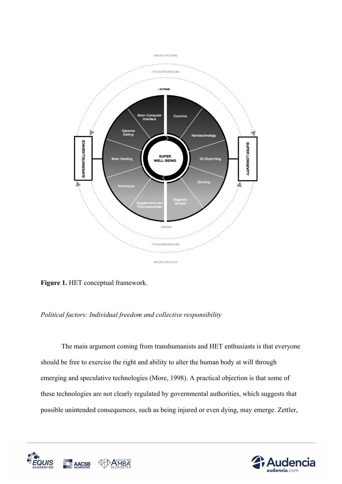

**Figure 1.** HET conceptual framework.

### *Political factors: Individual freedom and collective responsibility*

The main argument coming from transhumanists and HET enthusiasts is that everyone should be free to exercise the right and ability to alter the human body at will through emerging and speculative technologies (More, 1998). A practical objection is that some of these technologies are not clearly regulated by governmental authorities, which suggests that possible unintended consequences, such as being injured or even dying, may emerge. Zettler,



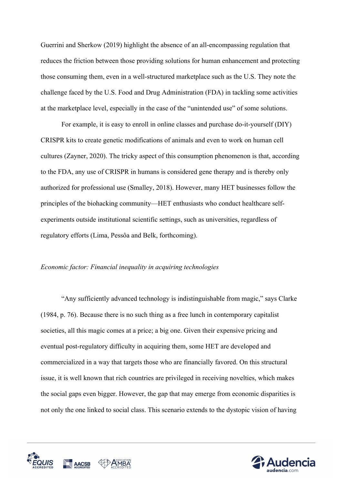Guerrini and Sherkow (2019) highlight the absence of an all-encompassing regulation that reduces the friction between those providing solutions for human enhancement and protecting those consuming them, even in a well-structured marketplace such as the U.S. They note the challenge faced by the U.S. Food and Drug Administration (FDA) in tackling some activities at the marketplace level, especially in the case of the "unintended use" of some solutions.

For example, it is easy to enroll in online classes and purchase do-it-yourself (DIY) CRISPR kits to create genetic modifications of animals and even to work on human cell cultures (Zayner, 2020). The tricky aspect of this consumption phenomenon is that, according to the FDA, any use of CRISPR in humans is considered gene therapy and is thereby only authorized for professional use (Smalley, 2018). However, many HET businesses follow the principles of the biohacking community—HET enthusiasts who conduct healthcare selfexperiments outside institutional scientific settings, such as universities, regardless of regulatory efforts (Lima, Pessôa and Belk, forthcoming).

#### *Economic factor: Financial inequality in acquiring technologies*

"Any sufficiently advanced technology is indistinguishable from magic," says Clarke (1984, p. 76). Because there is no such thing as a free lunch in contemporary capitalist societies, all this magic comes at a price; a big one. Given their expensive pricing and eventual post-regulatory difficulty in acquiring them, some HET are developed and commercialized in a way that targets those who are financially favored. On this structural issue, it is well known that rich countries are privileged in receiving novelties, which makes the social gaps even bigger. However, the gap that may emerge from economic disparities is not only the one linked to social class. This scenario extends to the dystopic vision of having



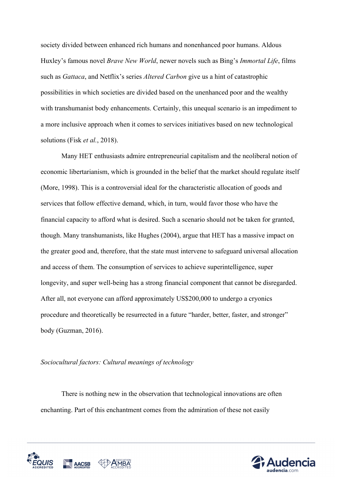society divided between enhanced rich humans and nonenhanced poor humans. Aldous Huxley's famous novel *Brave New World*, newer novels such as Bing's *Immortal Life*, films such as *Gattaca*, and Netflix's series *Altered Carbon* give us a hint of catastrophic possibilities in which societies are divided based on the unenhanced poor and the wealthy with transhumanist body enhancements. Certainly, this unequal scenario is an impediment to a more inclusive approach when it comes to services initiatives based on new technological solutions (Fisk *et al.*, 2018).

Many HET enthusiasts admire entrepreneurial capitalism and the neoliberal notion of economic libertarianism, which is grounded in the belief that the market should regulate itself (More, 1998). This is a controversial ideal for the characteristic allocation of goods and services that follow effective demand, which, in turn, would favor those who have the financial capacity to afford what is desired. Such a scenario should not be taken for granted, though. Many transhumanists, like Hughes (2004), argue that HET has a massive impact on the greater good and, therefore, that the state must intervene to safeguard universal allocation and access of them. The consumption of services to achieve superintelligence, super longevity, and super well-being has a strong financial component that cannot be disregarded. After all, not everyone can afford approximately US\$200,000 to undergo a cryonics procedure and theoretically be resurrected in a future "harder, better, faster, and stronger" body (Guzman, 2016).

#### *Sociocultural factors: Cultural meanings of technology*

There is nothing new in the observation that technological innovations are often enchanting. Part of this enchantment comes from the admiration of these not easily



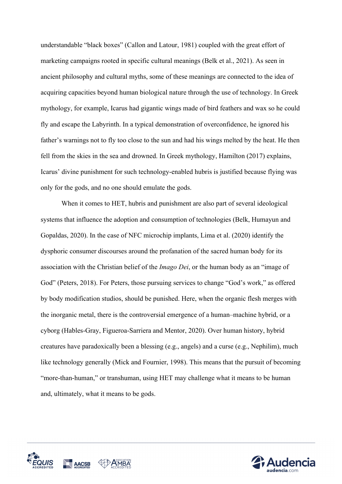understandable "black boxes" (Callon and Latour, 1981) coupled with the great effort of marketing campaigns rooted in specific cultural meanings (Belk et al., 2021). As seen in ancient philosophy and cultural myths, some of these meanings are connected to the idea of acquiring capacities beyond human biological nature through the use of technology. In Greek mythology, for example, Icarus had gigantic wings made of bird feathers and wax so he could fly and escape the Labyrinth. In a typical demonstration of overconfidence, he ignored his father's warnings not to fly too close to the sun and had his wings melted by the heat. He then fell from the skies in the sea and drowned. In Greek mythology, Hamilton (2017) explains, Icarus' divine punishment for such technology-enabled hubris is justified because flying was only for the gods, and no one should emulate the gods.

When it comes to HET, hubris and punishment are also part of several ideological systems that influence the adoption and consumption of technologies (Belk, Humayun and Gopaldas, 2020). In the case of NFC microchip implants, Lima et al. (2020) identify the dysphoric consumer discourses around the profanation of the sacred human body for its association with the Christian belief of the *Imago Dei*, or the human body as an "image of God" (Peters, 2018). For Peters, those pursuing services to change "God's work," as offered by body modification studios, should be punished. Here, when the organic flesh merges with the inorganic metal, there is the controversial emergence of a human–machine hybrid, or a cyborg (Hables-Gray, Figueroa-Sarriera and Mentor, 2020). Over human history, hybrid creatures have paradoxically been a blessing (e.g., angels) and a curse (e.g., Nephilim), much like technology generally (Mick and Fournier, 1998). This means that the pursuit of becoming "more-than-human," or transhuman, using HET may challenge what it means to be human and, ultimately, what it means to be gods.



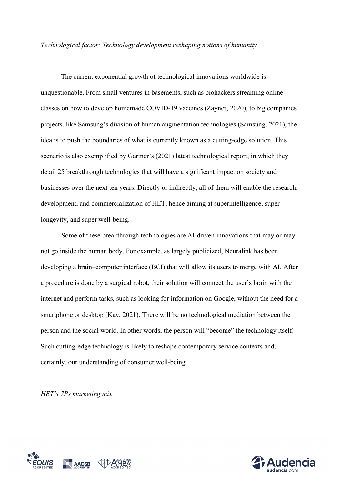*Technological factor: Technology development reshaping notions of humanity*

The current exponential growth of technological innovations worldwide is unquestionable. From small ventures in basements, such as biohackers streaming online classes on how to develop homemade COVID-19 vaccines (Zayner, 2020), to big companies' projects, like Samsung's division of human augmentation technologies (Samsung, 2021), the idea is to push the boundaries of what is currently known as a cutting-edge solution. This scenario is also exemplified by Gartner's (2021) latest technological report, in which they detail 25 breakthrough technologies that will have a significant impact on society and businesses over the next ten years. Directly or indirectly, all of them will enable the research, development, and commercialization of HET, hence aiming at superintelligence, super longevity, and super well-being.

Some of these breakthrough technologies are AI-driven innovations that may or may not go inside the human body. For example, as largely publicized, Neuralink has been developing a brain–computer interface (BCI) that will allow its users to merge with AI. After a procedure is done by a surgical robot, their solution will connect the user's brain with the internet and perform tasks, such as looking for information on Google, without the need for a smartphone or desktop (Kay, 2021). There will be no technological mediation between the person and the social world. In other words, the person will "become" the technology itself. Such cutting-edge technology is likely to reshape contemporary service contexts and, certainly, our understanding of consumer well-being.

*HET's 7Ps marketing mix*



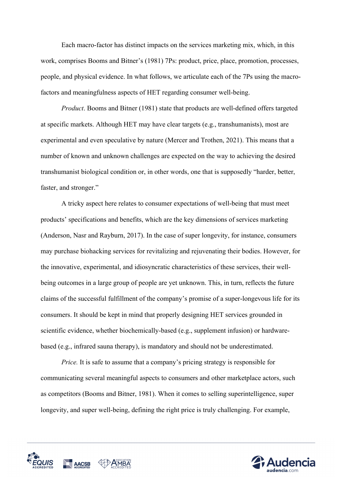Each macro-factor has distinct impacts on the services marketing mix, which, in this work, comprises Booms and Bitner's (1981) 7Ps: product, price, place, promotion, processes, people, and physical evidence. In what follows, we articulate each of the 7Ps using the macrofactors and meaningfulness aspects of HET regarding consumer well-being.

*Product*. Booms and Bitner (1981) state that products are well-defined offers targeted at specific markets. Although HET may have clear targets (e.g., transhumanists), most are experimental and even speculative by nature (Mercer and Trothen, 2021). This means that a number of known and unknown challenges are expected on the way to achieving the desired transhumanist biological condition or, in other words, one that is supposedly "harder, better, faster, and stronger."

A tricky aspect here relates to consumer expectations of well-being that must meet products' specifications and benefits, which are the key dimensions of services marketing (Anderson, Nasr and Rayburn, 2017). In the case of super longevity, for instance, consumers may purchase biohacking services for revitalizing and rejuvenating their bodies. However, for the innovative, experimental, and idiosyncratic characteristics of these services, their wellbeing outcomes in a large group of people are yet unknown. This, in turn, reflects the future claims of the successful fulfillment of the company's promise of a super-longevous life for its consumers. It should be kept in mind that properly designing HET services grounded in scientific evidence, whether biochemically-based (e.g., supplement infusion) or hardwarebased (e.g., infrared sauna therapy), is mandatory and should not be underestimated.

*Price.* It is safe to assume that a company's pricing strategy is responsible for communicating several meaningful aspects to consumers and other marketplace actors, such as competitors (Booms and Bitner, 1981). When it comes to selling superintelligence, super longevity, and super well-being, defining the right price is truly challenging. For example,



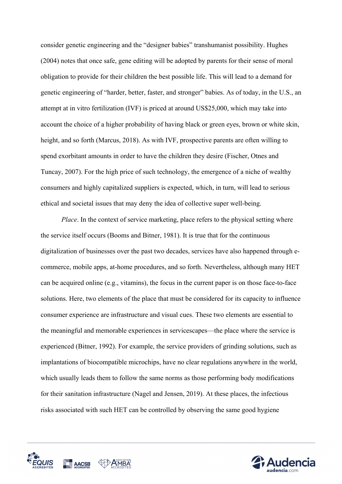consider genetic engineering and the "designer babies" transhumanist possibility. Hughes (2004) notes that once safe, gene editing will be adopted by parents for their sense of moral obligation to provide for their children the best possible life. This will lead to a demand for genetic engineering of "harder, better, faster, and stronger" babies. As of today, in the U.S., an attempt at in vitro fertilization (IVF) is priced at around US\$25,000, which may take into account the choice of a higher probability of having black or green eyes, brown or white skin, height, and so forth (Marcus, 2018). As with IVF, prospective parents are often willing to spend exorbitant amounts in order to have the children they desire (Fischer, Otnes and Tuncay, 2007). For the high price of such technology, the emergence of a niche of wealthy consumers and highly capitalized suppliers is expected, which, in turn, will lead to serious ethical and societal issues that may deny the idea of collective super well-being.

*Place*. In the context of service marketing, place refers to the physical setting where the service itself occurs (Booms and Bitner, 1981). It is true that for the continuous digitalization of businesses over the past two decades, services have also happened through ecommerce, mobile apps, at-home procedures, and so forth. Nevertheless, although many HET can be acquired online (e.g., vitamins), the focus in the current paper is on those face-to-face solutions. Here, two elements of the place that must be considered for its capacity to influence consumer experience are infrastructure and visual cues. These two elements are essential to the meaningful and memorable experiences in servicescapes—the place where the service is experienced (Bitner, 1992). For example, the service providers of grinding solutions, such as implantations of biocompatible microchips, have no clear regulations anywhere in the world, which usually leads them to follow the same norms as those performing body modifications for their sanitation infrastructure (Nagel and Jensen, 2019). At these places, the infectious risks associated with such HET can be controlled by observing the same good hygiene



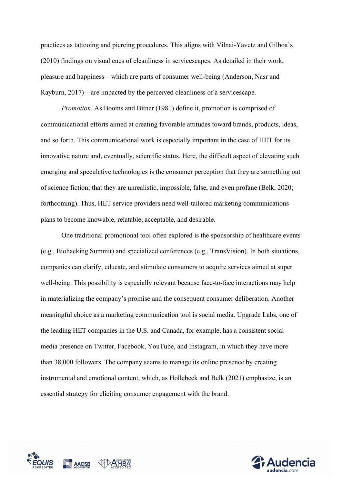practices as tattooing and piercing procedures. This aligns with Vilnai-Yavetz and Gilboa's (2010) findings on visual cues of cleanliness in servicescapes. As detailed in their work, pleasure and happiness—which are parts of consumer well-being (Anderson, Nasr and Rayburn, 2017)—are impacted by the perceived cleanliness of a servicescape.

*Promotion*. As Booms and Bitner (1981) define it, promotion is comprised of communicational efforts aimed at creating favorable attitudes toward brands, products, ideas, and so forth. This communicational work is especially important in the case of HET for its innovative nature and, eventually, scientific status. Here, the difficult aspect of elevating such emerging and speculative technologies is the consumer perception that they are something out of science fiction; that they are unrealistic, impossible, false, and even profane (Belk, 2020; forthcoming). Thus, HET service providers need well-tailored marketing communications plans to become knowable, relatable, acceptable, and desirable.

One traditional promotional tool often explored is the sponsorship of healthcare events (e.g., Biohacking Summit) and specialized conferences (e.g., TransVision). In both situations, companies can clarify, educate, and stimulate consumers to acquire services aimed at super well-being. This possibility is especially relevant because face-to-face interactions may help in materializing the company's promise and the consequent consumer deliberation. Another meaningful choice as a marketing communication tool is social media. Upgrade Labs, one of the leading HET companies in the U.S. and Canada, for example, has a consistent social media presence on Twitter, Facebook, YouTube, and Instagram, in which they have more than 38,000 followers. The company seems to manage its online presence by creating instrumental and emotional content, which, as Hollebeek and Belk (2021) emphasize, is an essential strategy for eliciting consumer engagement with the brand.



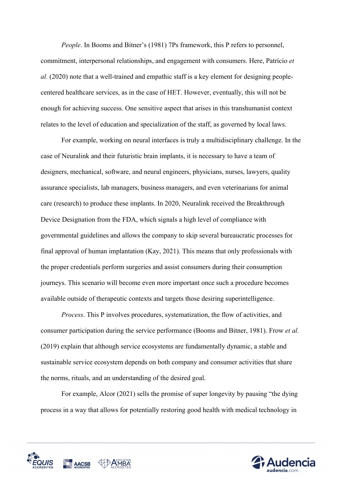*People*. In Booms and Bitner's (1981) 7Ps framework, this P refers to personnel, commitment, interpersonal relationships, and engagement with consumers. Here, Patrício *et al.* (2020) note that a well-trained and empathic staff is a key element for designing peoplecentered healthcare services, as in the case of HET. However, eventually, this will not be enough for achieving success. One sensitive aspect that arises in this transhumanist context relates to the level of education and specialization of the staff, as governed by local laws.

For example, working on neural interfaces is truly a multidisciplinary challenge. In the case of Neuralink and their futuristic brain implants, it is necessary to have a team of designers, mechanical, software, and neural engineers, physicians, nurses, lawyers, quality assurance specialists, lab managers, business managers, and even veterinarians for animal care (research) to produce these implants. In 2020, Neuralink received the Breakthrough Device Designation from the FDA, which signals a high level of compliance with governmental guidelines and allows the company to skip several bureaucratic processes for final approval of human implantation (Kay, 2021). This means that only professionals with the proper credentials perform surgeries and assist consumers during their consumption journeys. This scenario will become even more important once such a procedure becomes available outside of therapeutic contexts and targets those desiring superintelligence.

*Process*. This P involves procedures, systematization, the flow of activities, and consumer participation during the service performance (Booms and Bitner, 1981). Frow *et al.* (2019) explain that although service ecosystems are fundamentally dynamic, a stable and sustainable service ecosystem depends on both company and consumer activities that share the norms, rituals, and an understanding of the desired goal.

For example, Alcor (2021) sells the promise of super longevity by pausing "the dying process in a way that allows for potentially restoring good health with medical technology in



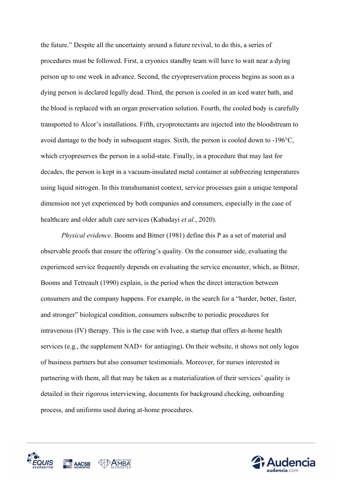the future." Despite all the uncertainty around a future revival, to do this, a series of procedures must be followed. First, a cryonics standby team will have to wait near a dying person up to one week in advance. Second, the cryopreservation process begins as soon as a dying person is declared legally dead. Third, the person is cooled in an iced water bath, and the blood is replaced with an organ preservation solution. Fourth, the cooled body is carefully transported to Alcor's installations. Fifth, cryoprotectants are injected into the bloodstream to avoid damage to the body in subsequent stages. Sixth, the person is cooled down to -196°C, which cryopreserves the person in a solid-state. Finally, in a procedure that may last for decades, the person is kept in a vacuum-insulated metal container at subfreezing temperatures using liquid nitrogen. In this transhumanist context, service processes gain a unique temporal dimension not yet experienced by both companies and consumers, especially in the case of healthcare and older adult care services (Kabadayi *et al.*, 2020).

*Physical evidence*. Booms and Bitner (1981) define this P as a set of material and observable proofs that ensure the offering's quality. On the consumer side, evaluating the experienced service frequently depends on evaluating the service encounter, which, as Bitner, Booms and Tetreault (1990) explain, is the period when the direct interaction between consumers and the company happens. For example, in the search for a "harder, better, faster, and stronger" biological condition, consumers subscribe to periodic procedures for intravenous (IV) therapy. This is the case with Ivee, a startup that offers at-home health services (e.g., the supplement NAD+ for antiaging). On their website, it shows not only logos of business partners but also consumer testimonials. Moreover, for nurses interested in partnering with them, all that may be taken as a materialization of their services' quality is detailed in their rigorous interviewing, documents for background checking, onboarding process, and uniforms used during at-home procedures.



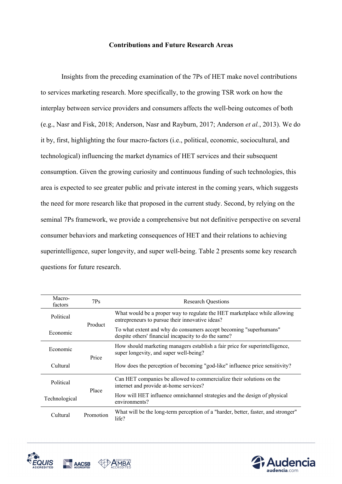#### **Contributions and Future Research Areas**

Insights from the preceding examination of the 7Ps of HET make novel contributions to services marketing research. More specifically, to the growing TSR work on how the interplay between service providers and consumers affects the well-being outcomes of both (e.g., Nasr and Fisk, 2018; Anderson, Nasr and Rayburn, 2017; Anderson *et al.*, 2013). We do it by, first, highlighting the four macro-factors (i.e., political, economic, sociocultural, and technological) influencing the market dynamics of HET services and their subsequent consumption. Given the growing curiosity and continuous funding of such technologies, this area is expected to see greater public and private interest in the coming years, which suggests the need for more research like that proposed in the current study. Second, by relying on the seminal 7Ps framework, we provide a comprehensive but not definitive perspective on several consumer behaviors and marketing consequences of HET and their relations to achieving superintelligence, super longevity, and super well-being. Table 2 presents some key research questions for future research.

| Macro-<br>factors | $7P_S$    | <b>Research Questions</b>                                                                                                    |
|-------------------|-----------|------------------------------------------------------------------------------------------------------------------------------|
| Political         | Product   | What would be a proper way to regulate the HET marketplace while allowing<br>entrepreneurs to pursue their innovative ideas? |
| Economic          |           | To what extent and why do consumers accept becoming "superhumans"<br>despite others' financial incapacity to do the same?    |
| Economic          | Price     | How should marketing managers establish a fair price for superintelligence,<br>super longevity, and super well-being?        |
| Cultural          |           | How does the perception of becoming "god-like" influence price sensitivity?                                                  |
| Political         | Place     | Can HET companies be allowed to commercialize their solutions on the<br>internet and provide at-home services?               |
| Technological     |           | How will HET influence omnichannel strategies and the design of physical<br>environments?                                    |
| Cultural          | Promotion | What will be the long-term perception of a "harder, better, faster, and stronger"<br>life?                                   |



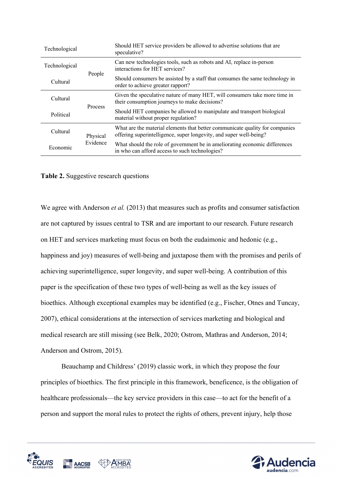| Technological |                      | Should HET service providers be allowed to advertise solutions that are<br>speculative?                                                            |  |
|---------------|----------------------|----------------------------------------------------------------------------------------------------------------------------------------------------|--|
| Technological |                      | Can new technologies tools, such as robots and AI, replace in-person<br>interactions for HET services?                                             |  |
| Cultural      | People               | Should consumers be assisted by a staff that consumes the same technology in<br>order to achieve greater rapport?                                  |  |
| Cultural      |                      | Given the speculative nature of many HET, will consumers take more time in<br>their consumption journeys to make decisions?                        |  |
| Political     | Process              | Should HET companies be allowed to manipulate and transport biological<br>material without proper regulation?                                      |  |
| Cultural      | Physical<br>Evidence | What are the material elements that better communicate quality for companies<br>offering superintelligence, super longevity, and super well-being? |  |
| Economic      |                      | What should the role of government be in ameliorating economic differences<br>in who can afford access to such technologies?                       |  |

#### **Table 2.** Suggestive research questions

We agree with Anderson *et al.* (2013) that measures such as profits and consumer satisfaction are not captured by issues central to TSR and are important to our research. Future research on HET and services marketing must focus on both the eudaimonic and hedonic (e.g., happiness and joy) measures of well-being and juxtapose them with the promises and perils of achieving superintelligence, super longevity, and super well-being. A contribution of this paper is the specification of these two types of well-being as well as the key issues of bioethics. Although exceptional examples may be identified (e.g., Fischer, Otnes and Tuncay, 2007), ethical considerations at the intersection of services marketing and biological and medical research are still missing (see Belk, 2020; Ostrom, Mathras and Anderson, 2014; Anderson and Ostrom, 2015).

Beauchamp and Childress' (2019) classic work, in which they propose the four principles of bioethics. The first principle in this framework, beneficence, is the obligation of healthcare professionals—the key service providers in this case—to act for the benefit of a person and support the moral rules to protect the rights of others, prevent injury, help those



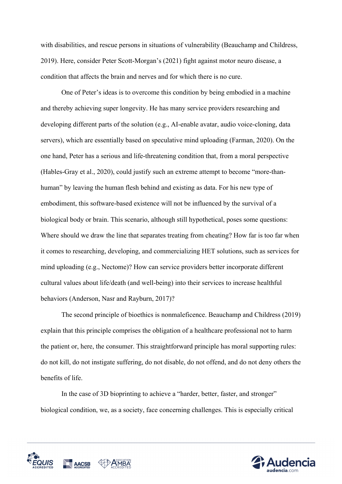with disabilities, and rescue persons in situations of vulnerability (Beauchamp and Childress, 2019). Here, consider Peter Scott-Morgan's (2021) fight against motor neuro disease, a condition that affects the brain and nerves and for which there is no cure.

One of Peter's ideas is to overcome this condition by being embodied in a machine and thereby achieving super longevity. He has many service providers researching and developing different parts of the solution (e.g., AI-enable avatar, audio voice-cloning, data servers), which are essentially based on speculative mind uploading (Farman, 2020). On the one hand, Peter has a serious and life-threatening condition that, from a moral perspective (Hables-Gray et al., 2020), could justify such an extreme attempt to become "more-thanhuman" by leaving the human flesh behind and existing as data. For his new type of embodiment, this software-based existence will not be influenced by the survival of a biological body or brain. This scenario, although still hypothetical, poses some questions: Where should we draw the line that separates treating from cheating? How far is too far when it comes to researching, developing, and commercializing HET solutions, such as services for mind uploading (e.g., Nectome)? How can service providers better incorporate different cultural values about life/death (and well-being) into their services to increase healthful behaviors (Anderson, Nasr and Rayburn, 2017)?

The second principle of bioethics is nonmaleficence. Beauchamp and Childress (2019) explain that this principle comprises the obligation of a healthcare professional not to harm the patient or, here, the consumer. This straightforward principle has moral supporting rules: do not kill, do not instigate suffering, do not disable, do not offend, and do not deny others the benefits of life.

In the case of 3D bioprinting to achieve a "harder, better, faster, and stronger" biological condition, we, as a society, face concerning challenges. This is especially critical



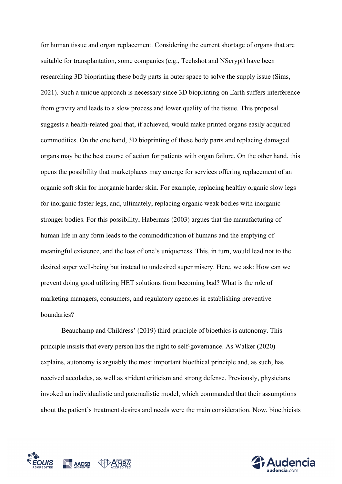for human tissue and organ replacement. Considering the current shortage of organs that are suitable for transplantation, some companies (e.g., Techshot and NScrypt) have been researching 3D bioprinting these body parts in outer space to solve the supply issue (Sims, 2021). Such a unique approach is necessary since 3D bioprinting on Earth suffers interference from gravity and leads to a slow process and lower quality of the tissue. This proposal suggests a health-related goal that, if achieved, would make printed organs easily acquired commodities. On the one hand, 3D bioprinting of these body parts and replacing damaged organs may be the best course of action for patients with organ failure. On the other hand, this opens the possibility that marketplaces may emerge for services offering replacement of an organic soft skin for inorganic harder skin. For example, replacing healthy organic slow legs for inorganic faster legs, and, ultimately, replacing organic weak bodies with inorganic stronger bodies. For this possibility, Habermas (2003) argues that the manufacturing of human life in any form leads to the commodification of humans and the emptying of meaningful existence, and the loss of one's uniqueness. This, in turn, would lead not to the desired super well-being but instead to undesired super misery. Here, we ask: How can we prevent doing good utilizing HET solutions from becoming bad? What is the role of marketing managers, consumers, and regulatory agencies in establishing preventive boundaries?

Beauchamp and Childress' (2019) third principle of bioethics is autonomy. This principle insists that every person has the right to self-governance. As Walker (2020) explains, autonomy is arguably the most important bioethical principle and, as such, has received accolades, as well as strident criticism and strong defense. Previously, physicians invoked an individualistic and paternalistic model, which commanded that their assumptions about the patient's treatment desires and needs were the main consideration. Now, bioethicists



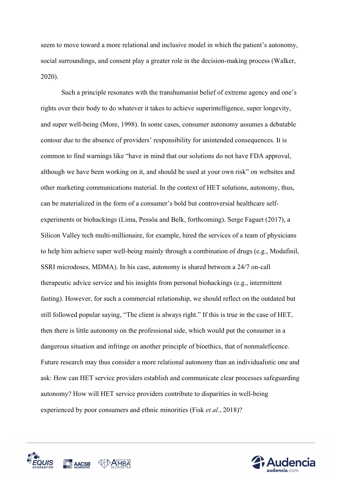seem to move toward a more relational and inclusive model in which the patient's autonomy, social surroundings, and consent play a greater role in the decision-making process (Walker, 2020).

Such a principle resonates with the transhumanist belief of extreme agency and one's rights over their body to do whatever it takes to achieve superintelligence, super longevity, and super well-being (More, 1998). In some cases, consumer autonomy assumes a debatable contour due to the absence of providers' responsibility for unintended consequences. It is common to find warnings like "have in mind that our solutions do not have FDA approval, although we have been working on it, and should be used at your own risk" on websites and other marketing communications material. In the context of HET solutions, autonomy, thus, can be materialized in the form of a consumer's bold but controversial healthcare selfexperiments or biohackings (Lima, Pessôa and Belk, forthcoming). Serge Faguet (2017), a Silicon Valley tech multi-millionaire, for example, hired the services of a team of physicians to help him achieve super well-being mainly through a combination of drugs (e.g., Modafinil, SSRI microdoses, MDMA). In his case, autonomy is shared between a 24/7 on-call therapeutic advice service and his insights from personal biohackings (e.g., intermittent fasting). However, for such a commercial relationship, we should reflect on the outdated but still followed popular saying, "The client is always right." If this is true in the case of HET, then there is little autonomy on the professional side, which would put the consumer in a dangerous situation and infringe on another principle of bioethics, that of nonmaleficence. Future research may thus consider a more relational autonomy than an individualistic one and ask: How can HET service providers establish and communicate clear processes safeguarding autonomy? How will HET service providers contribute to disparities in well-being experienced by poor consumers and ethnic minorities (Fisk *et al.*, 2018)?



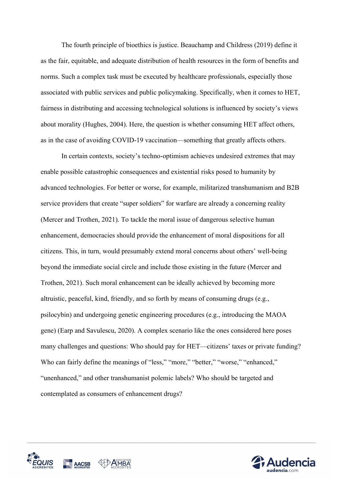The fourth principle of bioethics is justice. Beauchamp and Childress (2019) define it as the fair, equitable, and adequate distribution of health resources in the form of benefits and norms. Such a complex task must be executed by healthcare professionals, especially those associated with public services and public policymaking. Specifically, when it comes to HET, fairness in distributing and accessing technological solutions is influenced by society's views about morality (Hughes, 2004). Here, the question is whether consuming HET affect others, as in the case of avoiding COVID-19 vaccination—something that greatly affects others.

In certain contexts, society's techno-optimism achieves undesired extremes that may enable possible catastrophic consequences and existential risks posed to humanity by advanced technologies. For better or worse, for example, militarized transhumanism and B2B service providers that create "super soldiers" for warfare are already a concerning reality (Mercer and Trothen, 2021). To tackle the moral issue of dangerous selective human enhancement, democracies should provide the enhancement of moral dispositions for all citizens. This, in turn, would presumably extend moral concerns about others' well-being beyond the immediate social circle and include those existing in the future (Mercer and Trothen, 2021). Such moral enhancement can be ideally achieved by becoming more altruistic, peaceful, kind, friendly, and so forth by means of consuming drugs (e.g., psilocybin) and undergoing genetic engineering procedures (e.g., introducing the MAOA gene) (Earp and Savulescu, 2020). A complex scenario like the ones considered here poses many challenges and questions: Who should pay for HET—citizens' taxes or private funding? Who can fairly define the meanings of "less," "more," "better," "worse," "enhanced," "unenhanced," and other transhumanist polemic labels? Who should be targeted and contemplated as consumers of enhancement drugs?



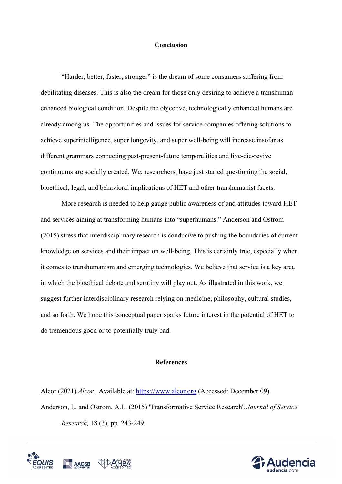#### **Conclusion**

"Harder, better, faster, stronger" is the dream of some consumers suffering from debilitating diseases. This is also the dream for those only desiring to achieve a transhuman enhanced biological condition. Despite the objective, technologically enhanced humans are already among us. The opportunities and issues for service companies offering solutions to achieve superintelligence, super longevity, and super well-being will increase insofar as different grammars connecting past-present-future temporalities and live-die-revive continuums are socially created. We, researchers, have just started questioning the social, bioethical, legal, and behavioral implications of HET and other transhumanist facets.

More research is needed to help gauge public awareness of and attitudes toward HET and services aiming at transforming humans into "superhumans." Anderson and Ostrom (2015) stress that interdisciplinary research is conducive to pushing the boundaries of current knowledge on services and their impact on well-being. This is certainly true, especially when it comes to transhumanism and emerging technologies. We believe that service is a key area in which the bioethical debate and scrutiny will play out. As illustrated in this work, we suggest further interdisciplinary research relying on medicine, philosophy, cultural studies, and so forth. We hope this conceptual paper sparks future interest in the potential of HET to do tremendous good or to potentially truly bad.

#### **References**

Alcor (2021) *Alcor.* Available at: https://www.alcor.org (Accessed: December 09). Anderson, L. and Ostrom, A.L. (2015) 'Transformative Service Research'. *Journal of Service Research,* 18 (3), pp. 243-249.



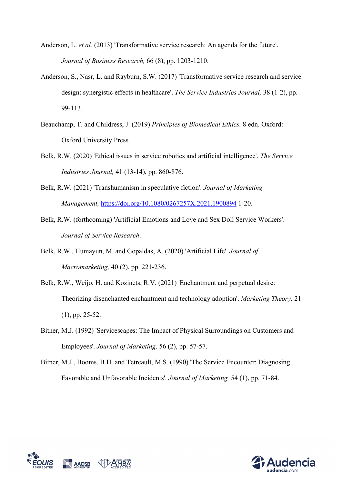- Anderson, L. *et al.* (2013) 'Transformative service research: An agenda for the future'. *Journal of Business Research,* 66 (8), pp. 1203-1210.
- Anderson, S., Nasr, L. and Rayburn, S.W. (2017) 'Transformative service research and service design: synergistic effects in healthcare'. *The Service Industries Journal,* 38 (1-2), pp. 99-113.
- Beauchamp, T. and Childress, J. (2019) *Principles of Biomedical Ethics.* 8 edn. Oxford: Oxford University Press.
- Belk, R.W. (2020) 'Ethical issues in service robotics and artificial intelligence'. *The Service Industries Journal,* 41 (13-14), pp. 860-876.
- Belk, R.W. (2021) 'Transhumanism in speculative fiction'. *Journal of Marketing Management,* https://doi.org/10.1080/0267257X.2021.1900894 1-20.
- Belk, R.W. (forthcoming) 'Artificial Emotions and Love and Sex Doll Service Workers'. *Journal of Service Research*.
- Belk, R.W., Humayun, M. and Gopaldas, A. (2020) 'Artificial Life'. *Journal of Macromarketing,* 40 (2), pp. 221-236.
- Belk, R.W., Weijo, H. and Kozinets, R.V. (2021) 'Enchantment and perpetual desire: Theorizing disenchanted enchantment and technology adoption'. *Marketing Theory,* 21 (1), pp. 25-52.
- Bitner, M.J. (1992) 'Servicescapes: The Impact of Physical Surroundings on Customers and Employees'. *Journal of Marketing,* 56 (2), pp. 57-57.
- Bitner, M.J., Booms, B.H. and Tetreault, M.S. (1990) 'The Service Encounter: Diagnosing Favorable and Unfavorable Incidents'. *Journal of Marketing,* 54 (1), pp. 71-84.



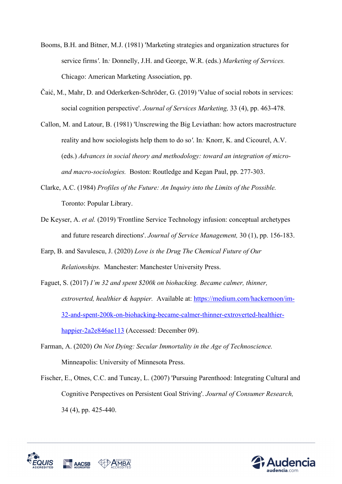- Booms, B.H. and Bitner, M.J. (1981) 'Marketing strategies and organization structures for service firms*'*. In*:* Donnelly, J.H. and George, W.R. (eds.) *Marketing of Services.*  Chicago: American Marketing Association, pp.
- Čaić, M., Mahr, D. and Oderkerken-Schröder, G. (2019) 'Value of social robots in services: social cognition perspective'. *Journal of Services Marketing,* 33 (4), pp. 463-478.
- Callon, M. and Latour, B. (1981) 'Unscrewing the Big Leviathan: how actors macrostructure reality and how sociologists help them to do so*'*. In*:* Knorr, K. and Cicourel, A.V. (eds.) *Advances in social theory and methodology: toward an integration of microand macro-sociologies.* Boston: Routledge and Kegan Paul, pp. 277-303.
- Clarke, A.C. (1984) *Profiles of the Future: An Inquiry into the Limits of the Possible.*  Toronto: Popular Library.
- De Keyser, A. *et al.* (2019) 'Frontline Service Technology infusion: conceptual archetypes and future research directions'. *Journal of Service Management,* 30 (1), pp. 156-183.
- Earp, B. and Savulescu, J. (2020) *Love is the Drug The Chemical Future of Our Relationships.* Manchester: Manchester University Press.
- Faguet, S. (2017) *I'm 32 and spent \$200k on biohacking. Became calmer, thinner, extroverted, healthier & happier.* Available at: https://medium.com/hackernoon/im-32-and-spent-200k-on-biohacking-became-calmer-thinner-extroverted-healthierhappier-2a2e846ae113 (Accessed: December 09).
- Farman, A. (2020) *On Not Dying: Secular Immortality in the Age of Technoscience.*  Minneapolis: University of Minnesota Press.
- Fischer, E., Otnes, C.C. and Tuncay, L. (2007) 'Pursuing Parenthood: Integrating Cultural and Cognitive Perspectives on Persistent Goal Striving'. *Journal of Consumer Research,* 34 (4), pp. 425-440.



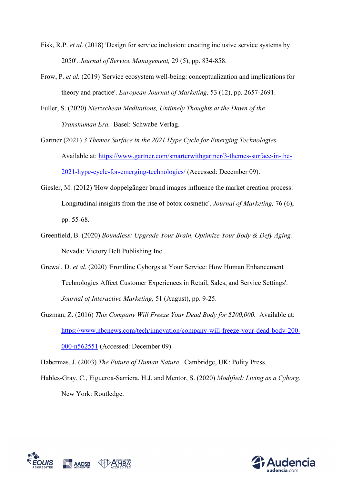- Fisk, R.P. *et al.* (2018) 'Design for service inclusion: creating inclusive service systems by 2050'. *Journal of Service Management,* 29 (5), pp. 834-858.
- Frow, P. *et al.* (2019) 'Service ecosystem well-being: conceptualization and implications for theory and practice'. *European Journal of Marketing,* 53 (12), pp. 2657-2691.
- Fuller, S. (2020) *Nietzschean Meditations, Untimely Thoughts at the Dawn of the Transhuman Era.* Basel: Schwabe Verlag.
- Gartner (2021) *3 Themes Surface in the 2021 Hype Cycle for Emerging Technologies.*  Available at: https://www.gartner.com/smarterwithgartner/3-themes-surface-in-the-2021-hype-cycle-for-emerging-technologies/ (Accessed: December 09).
- Giesler, M. (2012) 'How doppelgänger brand images influence the market creation process: Longitudinal insights from the rise of botox cosmetic'. *Journal of Marketing,* 76 (6), pp. 55-68.
- Greenfield, B. (2020) *Boundless: Upgrade Your Brain, Optimize Your Body & Defy Aging.*  Nevada: Victory Belt Publishing Inc.
- Grewal, D. *et al.* (2020) 'Frontline Cyborgs at Your Service: How Human Enhancement Technologies Affect Customer Experiences in Retail, Sales, and Service Settings'. *Journal of Interactive Marketing,* 51 (August), pp. 9-25.
- Guzman, Z. (2016) *This Company Will Freeze Your Dead Body for \$200,000.* Available at: https://www.nbcnews.com/tech/innovation/company-will-freeze-your-dead-body-200- 000-n562551 (Accessed: December 09).
- Habermas, J. (2003) *The Future of Human Nature.* Cambridge, UK: Polity Press.
- Hables-Gray, C., Figueroa-Sarriera, H.J. and Mentor, S. (2020) *Modified: Living as a Cyborg.*  New York: Routledge.



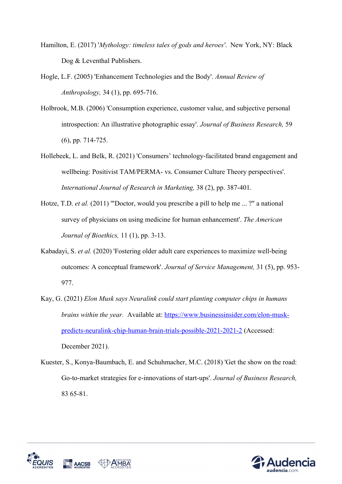- Hamilton, E. (2017) '*Mythology: timeless tales of gods and heroes'*. New York, NY: Black Dog & Leventhal Publishers.
- Hogle, L.F. (2005) 'Enhancement Technologies and the Body'. *Annual Review of Anthropology,* 34 (1), pp. 695-716.
- Holbrook, M.B. (2006) 'Consumption experience, customer value, and subjective personal introspection: An illustrative photographic essay'. *Journal of Business Research,* 59 (6), pp. 714-725.
- Hollebeek, L. and Belk, R. (2021) 'Consumers' technology-facilitated brand engagement and wellbeing: Positivist TAM/PERMA- vs. Consumer Culture Theory perspectives'. *International Journal of Research in Marketing,* 38 (2), pp. 387-401.
- Hotze, T.D. *et al.* (2011) '"Doctor, would you prescribe a pill to help me ... ?" a national survey of physicians on using medicine for human enhancement'. *The American Journal of Bioethics,* 11 (1), pp. 3-13.
- Kabadayi, S. *et al.* (2020) 'Fostering older adult care experiences to maximize well-being outcomes: A conceptual framework'. *Journal of Service Management,* 31 (5), pp. 953- 977.
- Kay, G. (2021) *Elon Musk says Neuralink could start planting computer chips in humans brains within the year.* Available at: https://www.businessinsider.com/elon-muskpredicts-neuralink-chip-human-brain-trials-possible-2021-2021-2 (Accessed: December 2021).
- Kuester, S., Konya-Baumbach, E. and Schuhmacher, M.C. (2018) 'Get the show on the road: Go-to-market strategies for e-innovations of start-ups'. *Journal of Business Research,* 83 65-81.



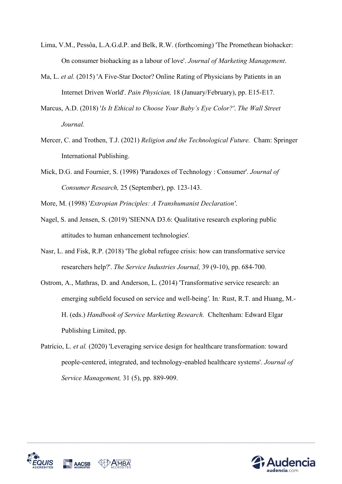- Lima, V.M., Pessôa, L.A.G.d.P. and Belk, R.W. (forthcoming) 'The Promethean biohacker: On consumer biohacking as a labour of love'. *Journal of Marketing Management*.
- Ma, L. *et al.* (2015) 'A Five-Star Doctor? Online Rating of Physicians by Patients in an Internet Driven World'. *Pain Physician,* 18 (January/February), pp. E15-E17.
- Marcus, A.D. (2018) '*Is It Ethical to Choose Your Baby's Eye Color?'*. *The Wall Street Journal.*
- Mercer, C. and Trothen, T.J. (2021) *Religion and the Technological Future.* Cham: Springer International Publishing.
- Mick, D.G. and Fournier, S. (1998) 'Paradoxes of Technology : Consumer'. *Journal of Consumer Research,* 25 (September), pp. 123-143.
- More, M. (1998) '*Extropian Principles: A Transhumanist Declaration'*.
- Nagel, S. and Jensen, S. (2019) 'SIENNA D3.6: Qualitative research exploring public attitudes to human enhancement technologies'*.*
- Nasr, L. and Fisk, R.P. (2018) 'The global refugee crisis: how can transformative service researchers help?'. *The Service Industries Journal,* 39 (9-10), pp. 684-700.
- Ostrom, A., Mathras, D. and Anderson, L. (2014) 'Transformative service research: an emerging subfield focused on service and well-being*'*. In*:* Rust, R.T. and Huang, M.- H. (eds.) *Handbook of Service Marketing Research.* Cheltenham: Edward Elgar Publishing Limited, pp.
- Patrício, L. *et al.* (2020) 'Leveraging service design for healthcare transformation: toward people-centered, integrated, and technology-enabled healthcare systems'. *Journal of Service Management,* 31 (5), pp. 889-909.



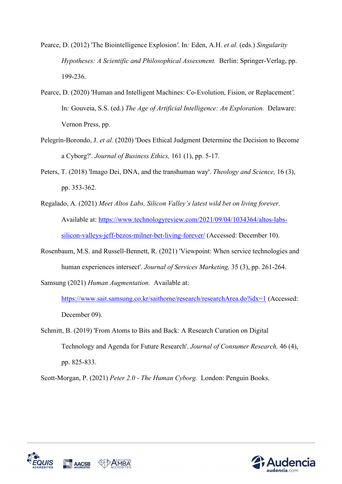- Pearce, D. (2012) 'The Biointelligence Explosion*'*. In*:* Eden, A.H. *et al.* (eds.) *Singularity Hypotheses: A Scientific and Philosophical Assessment. Berlin: Springer-Verlag, pp.* 199-236.
- Pearce, D. (2020) 'Human and Intelligent Machines: Co-Evolution, Fision, or Replacement*'*. In*:* Gouveia, S.S. (ed.) *The Age of Artificial Intelligence: An Exploration.* Delaware: Vernon Press, pp.
- Pelegrín-Borondo, J. *et al.* (2020) 'Does Ethical Judgment Determine the Decision to Become a Cyborg?'. *Journal of Business Ethics,* 161 (1), pp. 5-17.
- Peters, T. (2018) 'Imago Dei, DNA, and the transhuman way'. *Theology and Science,* 16 (3), pp. 353-362.
- Regalado, A. (2021) *Meet Altos Labs, Silicon Valley's latest wild bet on living forever.*  Available at: https://www.technologyreview.com/2021/09/04/1034364/altos-labssilicon-valleys-jeff-bezos-milner-bet-living-forever/ (Accessed: December 10).
- Rosenbaum, M.S. and Russell-Bennett, R. (2021) 'Viewpoint: When service technologies and human experiences intersect'. *Journal of Services Marketing,* 35 (3), pp. 261-264.

Samsung (2021) *Human Augmentation.* Available at:

https://www.sait.samsung.co.kr/saithome/research/researchArea.do?idx=1 (Accessed: December 09).

Schmitt, B. (2019) 'From Atoms to Bits and Back: A Research Curation on Digital Technology and Agenda for Future Research'. *Journal of Consumer Research,* 46 (4), pp. 825-833.

Scott-Morgan, P. (2021) *Peter 2.0 - The Human Cyborg.* London: Penguin Books.